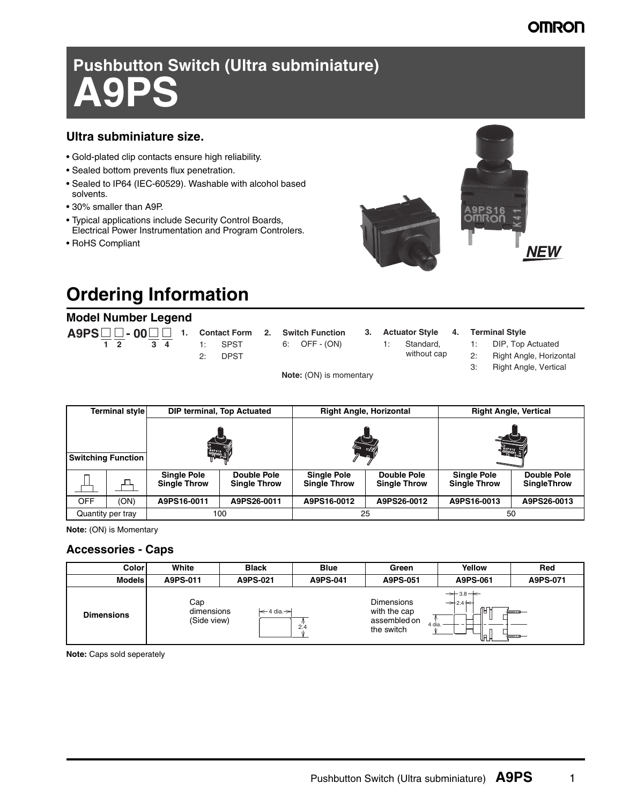### **OMRON**

**NEW** 

A9PS16<br>OMRON

# **Pushbutton Switch (Ultra subminiature) A9PS**

### **Ultra subminiature size.**

- Gold-plated clip contacts ensure high reliability.
- Sealed bottom prevents flux penetration.
- Sealed to IP64 (IEC-60529). Washable with alcohol based solvents.
- 30% smaller than A9P.
- Typical applications include Security Control Boards, Electrical Power Instrumentation and Program Controlers.
- RoHS Compliant

# **Ordering Information**

### **Model Number Legend**

|  |           |  |           |  | $\overline{A9PS}$ $\Box$ - $\overline{00}$ $\Box$ 1. Contact Form 2. Switch Function |  | 3. Actuator Style 4. Terminal Style |  |                                   |
|--|-----------|--|-----------|--|--------------------------------------------------------------------------------------|--|-------------------------------------|--|-----------------------------------|
|  | $12$ $34$ |  | $1:$ SPST |  | 6: OFF - (ON)                                                                        |  |                                     |  | 1: Standard, 1: DIP, Top Actuated |
|  |           |  | 2: DPST   |  |                                                                                      |  | without cap                         |  | 2: Right Angle, Horizontal        |
|  |           |  |           |  |                                                                                      |  |                                     |  | Right Angle, Vertical             |

**Note:** (ON) is momentary

|                   | Terminal style            |                                           | <b>DIP terminal, Top Actuated</b>         | <b>Right Angle, Horizontal</b>            |                                    | <b>Right Angle, Vertical</b>              |                                   |  |  |  |
|-------------------|---------------------------|-------------------------------------------|-------------------------------------------|-------------------------------------------|------------------------------------|-------------------------------------------|-----------------------------------|--|--|--|
|                   | <b>Switching Function</b> | $\frac{1}{2}$                             |                                           |                                           |                                    | <b>OmRODE</b>                             |                                   |  |  |  |
|                   |                           | <b>Single Pole</b><br><b>Single Throw</b> | <b>Double Pole</b><br><b>Single Throw</b> | <b>Single Pole</b><br><b>Single Throw</b> | Double Pole<br><b>Single Throw</b> | <b>Single Pole</b><br><b>Single Throw</b> | Double Pole<br><b>SingleThrow</b> |  |  |  |
| <b>OFF</b>        | (ON)                      | A9PS16-0011                               | A9PS26-0011                               | A9PS16-0012                               | A9PS26-0012                        | A9PS16-0013                               | A9PS26-0013                       |  |  |  |
| Quantity per tray |                           |                                           | 100                                       |                                           | 25                                 | 50                                        |                                   |  |  |  |

**Note:** (ON) is Momentary

### **Accessories - Caps**

| <b>Color</b>      | White                            | <b>Black</b>         | <b>Blue</b> | Green                                                           | Yellow                                                                                | Red      |
|-------------------|----------------------------------|----------------------|-------------|-----------------------------------------------------------------|---------------------------------------------------------------------------------------|----------|
| <b>Models</b>     | A9PS-011                         | A9PS-021             | A9PS-041    | A9PS-051                                                        | A9PS-061                                                                              | A9PS-071 |
| <b>Dimensions</b> | Cap<br>dimensions<br>(Side view) | $\leq 4$ dia. $\geq$ | 2.4         | <b>Dimensions</b><br>with the cap<br>assembled on<br>the switch | $\rightarrow$ 3.8 $\leftarrow$<br>$\rightarrow$ 2.4 $\leftarrow$<br>Æ<br>4 dia.<br>lπ |          |

**Note:** Caps sold seperately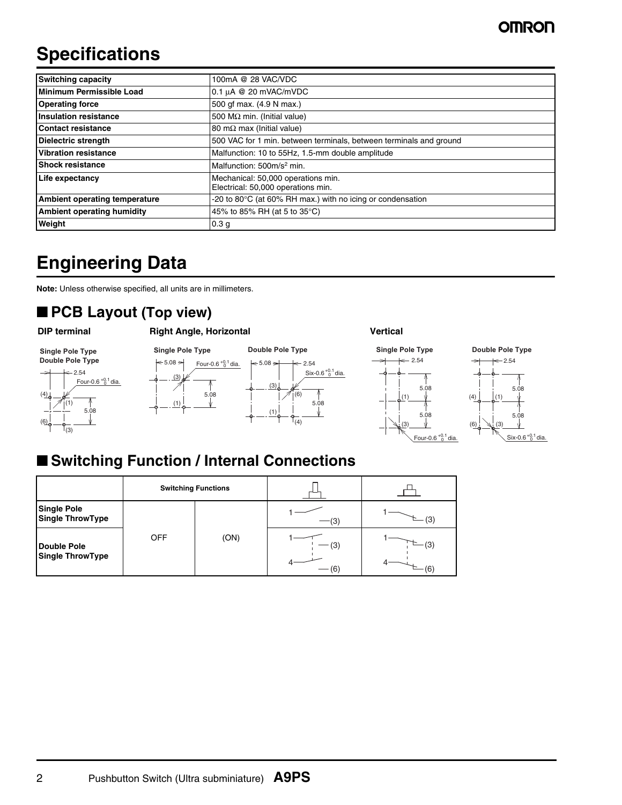# **Specifications**

| <b>Switching capacity</b>         | 100mA @ 28 VAC/VDC                                                       |
|-----------------------------------|--------------------------------------------------------------------------|
| Minimum Permissible Load          | 0.1 µA @ 20 mVAC/mVDC                                                    |
| <b>Operating force</b>            | 500 gf max. (4.9 N max.)                                                 |
| <b>Insulation resistance</b>      | 500 M $\Omega$ min. (Initial value)                                      |
| Contact resistance                | 80 m $\Omega$ max (Initial value)                                        |
| <b>Dielectric strength</b>        | 500 VAC for 1 min. between terminals, between terminals and ground       |
| <b>Vibration resistance</b>       | Malfunction: 10 to 55Hz, 1.5-mm double amplitude                         |
| <b>Shock resistance</b>           | Malfunction: 500m/s <sup>2</sup> min.                                    |
| Life expectancy                   | Mechanical: 50,000 operations min.<br>Electrical: 50,000 operations min. |
| Ambient operating temperature     | -20 to 80 $\degree$ C (at 60% RH max.) with no icing or condensation     |
| <b>Ambient operating humidity</b> | 45% to 85% RH (at 5 to 35°C)                                             |
| Weight                            | 0.3 <sub>g</sub>                                                         |

# **Engineering Data**

**Note:** Unless otherwise specified, all units are in millimeters.

## ■ **PCB Layout (Top view)**













(3)

 $\left(6\right)$ <sub>0</sub>

5.08  $Six-0.6^{+0.1}$  dia.

# ■ Switching Function / Internal Connections

|                                               |            | <b>Switching Functions</b> |     |          |  |  |  |
|-----------------------------------------------|------------|----------------------------|-----|----------|--|--|--|
| <b>Single Pole</b><br><b>Single ThrowType</b> |            |                            | (3  | (3       |  |  |  |
| <b>Double Pole</b><br><b>Single ThrowType</b> | <b>OFF</b> | (ON)                       | (3) | (3<br>(6 |  |  |  |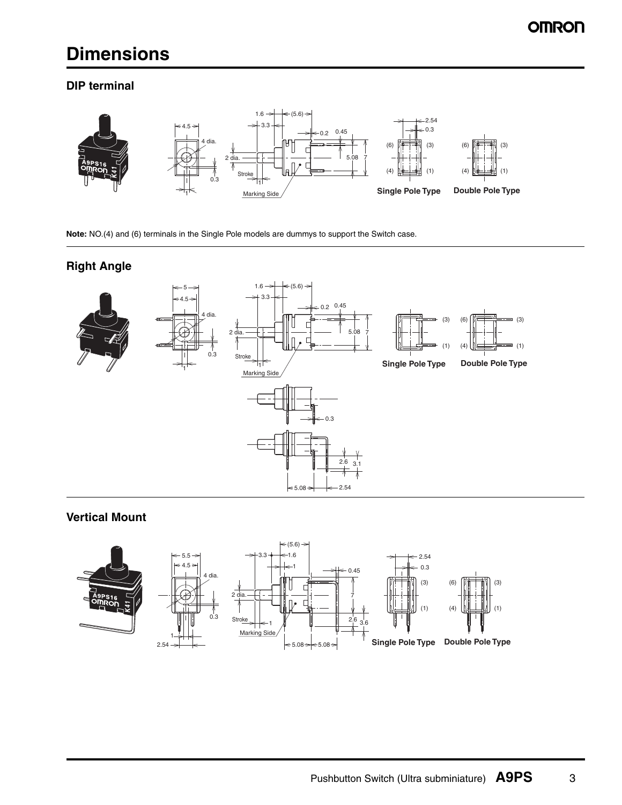# **Dimensions**

### **DIP terminal**



**Note:** NO.(4) and (6) terminals in the Single Pole models are dummys to support the Switch case.

### **Right Angle**



### **Vertical Mount**

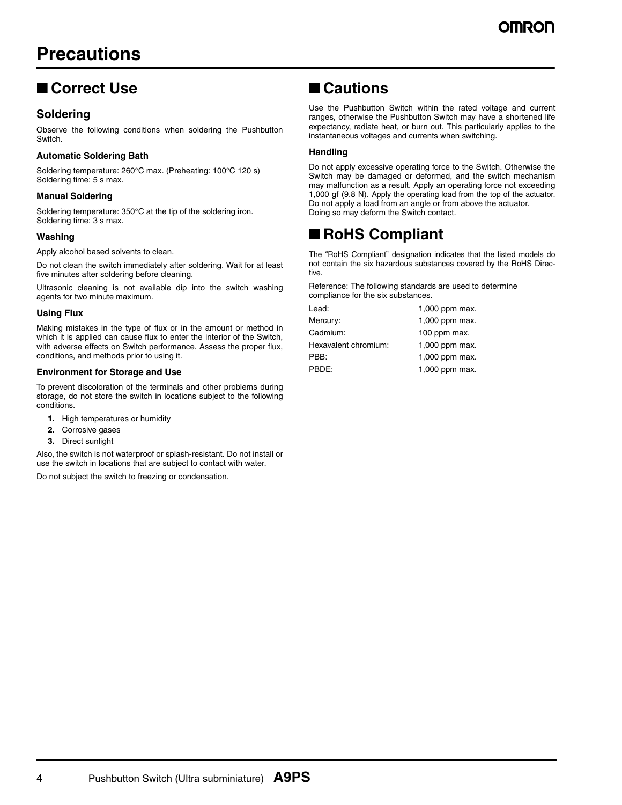# **Precautions**

### ■ **Correct Use**

### **Soldering**

Observe the following conditions when soldering the Pushbutton Switch.

### **Automatic Soldering Bath**

Soldering temperature: 260°C max. (Preheating: 100°C 120 s) Soldering time: 5 s max.

### **Manual Soldering**

Soldering temperature: 350°C at the tip of the soldering iron. Soldering time: 3 s max.

### **Washing**

Apply alcohol based solvents to clean.

Do not clean the switch immediately after soldering. Wait for at least five minutes after soldering before cleaning.

Ultrasonic cleaning is not available dip into the switch washing agents for two minute maximum.

### **Using Flux**

Making mistakes in the type of flux or in the amount or method in which it is applied can cause flux to enter the interior of the Switch, with adverse effects on Switch performance. Assess the proper flux, conditions, and methods prior to using it.

### **Environment for Storage and Use**

To prevent discoloration of the terminals and other problems during storage, do not store the switch in locations subject to the following conditions.

- **1.** High temperatures or humidity
- **2.** Corrosive gases
- **3.** Direct sunlight

Also, the switch is not waterproof or splash-resistant. Do not install or use the switch in locations that are subject to contact with water.

Do not subject the switch to freezing or condensation.

### ■ **Cautions**

Use the Pushbutton Switch within the rated voltage and current ranges, otherwise the Pushbutton Switch may have a shortened life expectancy, radiate heat, or burn out. This particularly applies to the instantaneous voltages and currents when switching.

### **Handling**

Do not apply excessive operating force to the Switch. Otherwise the Switch may be damaged or deformed, and the switch mechanism may malfunction as a result. Apply an operating force not exceeding 1,000 gf (9.8 N). Apply the operating load from the top of the actuator. Do not apply a load from an angle or from above the actuator. Doing so may deform the Switch contact.

### ■ **RoHS Compliant**

The "RoHS Compliant" designation indicates that the listed models do not contain the six hazardous substances covered by the RoHS Directive.

Reference: The following standards are used to determine compliance for the six substances.

| Lead:                | 1,000 ppm max. |
|----------------------|----------------|
| Mercury:             | 1,000 ppm max. |
| Cadmium:             | 100 ppm max.   |
| Hexavalent chromium: | 1,000 ppm max. |
| PBB:                 | 1,000 ppm max. |
| PBDE:                | 1,000 ppm max. |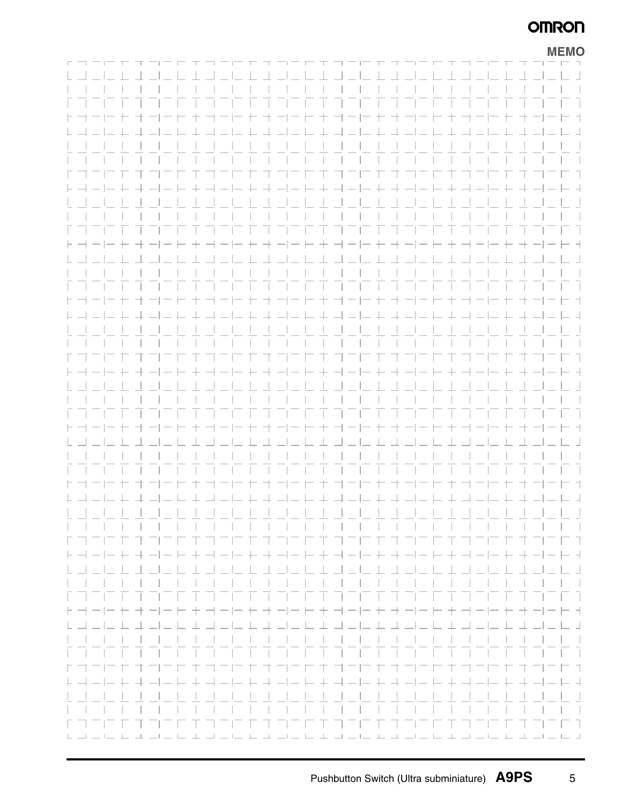### **OMRON**

|                                                                                                                 |  |  |  |      |  |  |                                                                                           |   |                                          |        |  |                       |                                     |  |          | <b>MEMO</b>                            |
|-----------------------------------------------------------------------------------------------------------------|--|--|--|------|--|--|-------------------------------------------------------------------------------------------|---|------------------------------------------|--------|--|-----------------------|-------------------------------------|--|----------|----------------------------------------|
|                                                                                                                 |  |  |  |      |  |  |                                                                                           |   |                                          |        |  |                       |                                     |  |          |                                        |
|                                                                                                                 |  |  |  |      |  |  |                                                                                           |   | .                                        |        |  |                       |                                     |  |          |                                        |
|                                                                                                                 |  |  |  |      |  |  |                                                                                           |   | .                                        |        |  |                       |                                     |  |          |                                        |
|                                                                                                                 |  |  |  |      |  |  |                                                                                           |   | -----------------                        |        |  |                       |                                     |  |          | $\Box$                                 |
| $H \rightarrow -1$                                                                                              |  |  |  |      |  |  | コーヒキ                                                                                      |   | ヨーヒ                                      | $+ +$  |  |                       |                                     |  |          | - -                                    |
|                                                                                                                 |  |  |  |      |  |  |                                                                                           |   | 그 나라 그는 나라 나라 그는 바라 그는 데                 |        |  |                       |                                     |  |          | - 4                                    |
|                                                                                                                 |  |  |  |      |  |  |                                                                                           |   |                                          |        |  |                       |                                     |  |          |                                        |
|                                                                                                                 |  |  |  |      |  |  | $\blacksquare$ $\blacksquare$ $\blacksquare$ $\blacksquare$ $\blacksquare$ $\blacksquare$ |   |                                          |        |  |                       |                                     |  |          | $\mathbf{1}$                           |
| トコード キオコニヒキコ                                                                                                    |  |  |  |      |  |  |                                                                                           |   | フロ セオ コニヒ キココロ セオ コニヒ キ                  |        |  |                       |                                     |  |          | ロコ                                     |
|                                                                                                                 |  |  |  |      |  |  |                                                                                           |   |                                          |        |  |                       |                                     |  |          | - 4                                    |
|                                                                                                                 |  |  |  |      |  |  |                                                                                           |   |                                          |        |  |                       |                                     |  |          |                                        |
|                                                                                                                 |  |  |  |      |  |  |                                                                                           |   |                                          |        |  |                       |                                     |  |          | $\mathcal{L}$                          |
|                                                                                                                 |  |  |  |      |  |  |                                                                                           |   | .                                        |        |  |                       |                                     |  |          | $\mathcal{L}(\mathcal{L})$             |
|                                                                                                                 |  |  |  |      |  |  |                                                                                           |   | + + - - - + - - - + + - -                |        |  |                       |                                     |  |          | $\vdash$ +                             |
|                                                                                                                 |  |  |  |      |  |  |                                                                                           |   | <u>. 1 . J . L 1 . J . J . 1 . J . J</u> |        |  |                       |                                     |  |          | $\Box$                                 |
|                                                                                                                 |  |  |  |      |  |  |                                                                                           |   |                                          |        |  |                       |                                     |  |          |                                        |
|                                                                                                                 |  |  |  |      |  |  |                                                                                           |   |                                          |        |  |                       |                                     |  |          | $\vert \vert$                          |
| F TH                                                                                                            |  |  |  |      |  |  |                                                                                           | 主 | ヨニロ                                      | $\top$ |  |                       |                                     |  |          | - 1                                    |
|                                                                                                                 |  |  |  |      |  |  |                                                                                           |   | ニセ キュニヒ ヒキュニヒ ヒキュニヒ                      |        |  |                       |                                     |  |          | $= 4$                                  |
|                                                                                                                 |  |  |  |      |  |  |                                                                                           |   |                                          |        |  |                       |                                     |  |          |                                        |
|                                                                                                                 |  |  |  |      |  |  |                                                                                           |   |                                          |        |  |                       |                                     |  |          | $\sim$ 1.                              |
|                                                                                                                 |  |  |  | 三日丁丁 |  |  |                                                                                           |   | フロ ロ ゴ コ コ ロ エ コ コ ロ エ ゴ コ ロ ロ エ         |        |  |                       |                                     |  |          | - 1                                    |
| ト - - - - + - - - - + - - - - + - - - + - - - + - - - + - - - + - - - + -                                       |  |  |  |      |  |  |                                                                                           |   |                                          |        |  |                       |                                     |  | $+ + -1$ | - -                                    |
|                                                                                                                 |  |  |  |      |  |  |                                                                                           |   |                                          |        |  |                       |                                     |  |          |                                        |
|                                                                                                                 |  |  |  |      |  |  |                                                                                           |   |                                          |        |  |                       |                                     |  |          | $\mathcal{L}$                          |
|                                                                                                                 |  |  |  |      |  |  |                                                                                           |   | .                                        |        |  |                       |                                     |  |          | T T                                    |
| $\vdash \dashv \dashv \vdash$                                                                                   |  |  |  |      |  |  |                                                                                           |   | + + - - - + - - - + + - - -              |        |  | $\vdash$ + + $\vdash$ |                                     |  |          | $-++$                                  |
|                                                                                                                 |  |  |  |      |  |  |                                                                                           |   | <u>LIL LA LIL LA ALIL LA LILI</u>        |        |  |                       | $=$ $\perp$ $\perp$ $\perp$ $\perp$ |  |          | - 1                                    |
|                                                                                                                 |  |  |  |      |  |  |                                                                                           |   |                                          |        |  |                       |                                     |  |          |                                        |
|                                                                                                                 |  |  |  |      |  |  |                                                                                           |   |                                          |        |  |                       |                                     |  |          |                                        |
|                                                                                                                 |  |  |  |      |  |  |                                                                                           |   |                                          |        |  |                       |                                     |  |          | - 1                                    |
|                                                                                                                 |  |  |  |      |  |  |                                                                                           |   |                                          |        |  |                       |                                     |  |          |                                        |
|                                                                                                                 |  |  |  |      |  |  |                                                                                           |   |                                          |        |  |                       |                                     |  |          |                                        |
|                                                                                                                 |  |  |  |      |  |  |                                                                                           |   |                                          |        |  |                       |                                     |  |          | $\mathcal{L}$                          |
|                                                                                                                 |  |  |  |      |  |  |                                                                                           |   |                                          |        |  |                       |                                     |  |          | $\Box$                                 |
| $\vdash \dashv - \vdash$                                                                                        |  |  |  |      |  |  |                                                                                           |   | $- -+ + - - -+ - -+ + - - -$             |        |  |                       |                                     |  |          | $ -$                                   |
|                                                                                                                 |  |  |  |      |  |  |                                                                                           |   |                                          |        |  |                       |                                     |  |          |                                        |
|                                                                                                                 |  |  |  |      |  |  |                                                                                           |   |                                          |        |  |                       |                                     |  |          | $-1$ $-1$ $-1$                         |
| に コ 二 口 丁 丁 二 口                                                                                                 |  |  |  |      |  |  |                                                                                           |   |                                          |        |  |                       |                                     |  |          |                                        |
| トヨート                                                                                                            |  |  |  |      |  |  |                                                                                           |   | コーヒキヨーヒキキ                                |        |  |                       |                                     |  |          | - 1                                    |
| $\begin{array}{c} \downarrow \downarrow \downarrow \downarrow \downarrow \end{array}$                           |  |  |  |      |  |  |                                                                                           |   |                                          |        |  |                       |                                     |  |          | - キューニ キュ コーヒ キューニ トコ コーヒ キューニ トコ コーヒュ |
|                                                                                                                 |  |  |  |      |  |  |                                                                                           |   | ---------------------                    |        |  |                       |                                     |  |          | $\Box$ $\Box$                          |
| .                                                                                                               |  |  |  |      |  |  |                                                                                           |   | .                                        |        |  |                       |                                     |  |          | .                                      |
| トゴコロセ                                                                                                           |  |  |  |      |  |  |                                                                                           |   | ファキオファヒキコファキオファヒキ                        |        |  |                       |                                     |  |          | コーヒセオコニヒキ                              |
|                                                                                                                 |  |  |  |      |  |  |                                                                                           |   |                                          |        |  |                       |                                     |  |          |                                        |
|                                                                                                                 |  |  |  |      |  |  |                                                                                           |   |                                          |        |  |                       |                                     |  |          |                                        |
|                                                                                                                 |  |  |  |      |  |  |                                                                                           |   |                                          |        |  |                       |                                     |  |          | <b>Contract</b>                        |
|                                                                                                                 |  |  |  |      |  |  |                                                                                           |   |                                          |        |  |                       |                                     |  |          | $\sim$                                 |
| المساحدات المسامل بساحد المسامل بساحي بالمسامل المسامل بالسامل بالمسامل بالمسامل بالسامل بالمسامل بساحد المسامل |  |  |  |      |  |  |                                                                                           |   |                                          |        |  |                       |                                     |  |          |                                        |